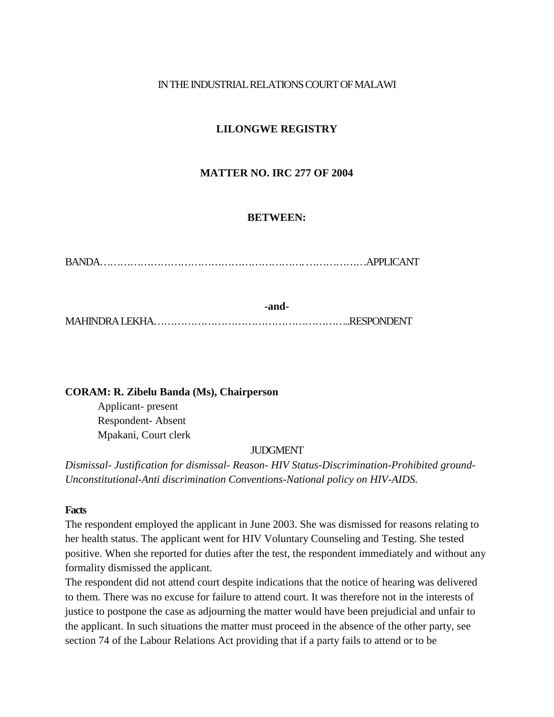# IN THE INDUSTRIAL RELATIONS COURT OF MALAWI

# **LILONGWE REGISTRY**

# **MATTER NO. IRC 277 OF 2004**

# **BETWEEN:**

BANDA…………………………………………………….………………APPLICANT

**-and-**MAHINDRALEKHA…………………………………………………..RESPONDENT

# **CORAM: R. Zibelu Banda (Ms), Chairperson**

Applicant- present Respondent- Absent Mpakani, Court clerk

# JUDGMENT

*Dismissal- Justification for dismissal- Reason- HIV Status-Discrimination-Prohibited ground-Unconstitutional-Anti discrimination Conventions-National policy on HIV-AIDS.*

#### **Facts**

The respondent employed the applicant in June 2003. She was dismissed for reasons relating to her health status. The applicant went for HIV Voluntary Counseling and Testing. She tested positive. When she reported for duties after the test, the respondent immediately and without any formality dismissed the applicant.

The respondent did not attend court despite indications that the notice of hearing was delivered to them. There was no excuse for failure to attend court. It was therefore not in the interests of justice to postpone the case as adjourning the matter would have been prejudicial and unfair to the applicant. In such situations the matter must proceed in the absence of the other party, see section 74 of the Labour Relations Act providing that if a party fails to attend or to be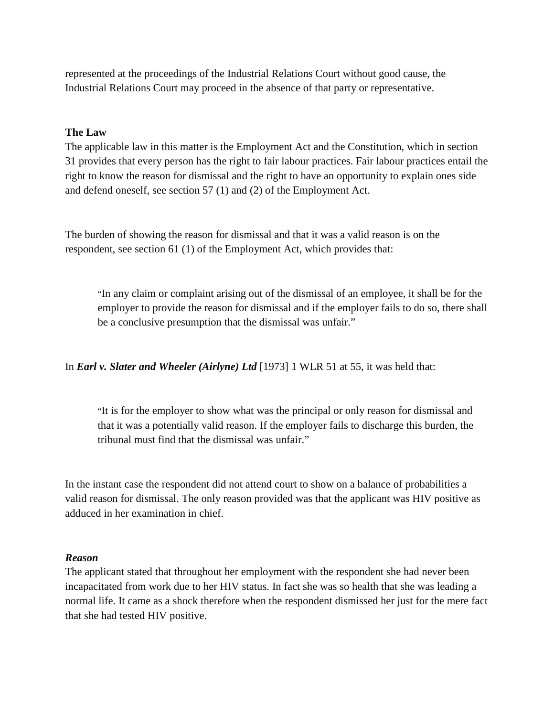represented at the proceedings of the Industrial Relations Court without good cause, the Industrial Relations Court may proceed in the absence of that party or representative.

#### **The Law**

The applicable law in this matter is the Employment Act and the Constitution, which in section 31 provides that every person has the right to fair labour practices. Fair labour practices entail the right to know the reason for dismissal and the right to have an opportunity to explain ones side and defend oneself, see section 57 (1) and (2) of the Employment Act.

The burden of showing the reason for dismissal and that it was a valid reason is on the respondent, see section 61 (1) of the Employment Act, which provides that:

"In any claim or complaint arising out of the dismissal of an employee, it shall be for the employer to provide the reason for dismissal and if the employer fails to do so, there shall be a conclusive presumption that the dismissal was unfair."

In *Earl v. Slater and Wheeler (Airlyne) Ltd* [1973] 1 WLR 51 at 55, it was held that:

"It is for the employer to show what was the principal or only reason for dismissal and that it was a potentially valid reason. If the employer fails to discharge this burden, the tribunal must find that the dismissal was unfair."

In the instant case the respondent did not attend court to show on a balance of probabilities a valid reason for dismissal. The only reason provided was that the applicant was HIV positive as adduced in her examination in chief.

# *Reason*

The applicant stated that throughout her employment with the respondent she had never been incapacitated from work due to her HIV status. In fact she was so health that she was leading a normal life. It came as a shock therefore when the respondent dismissed her just for the mere fact that she had tested HIV positive.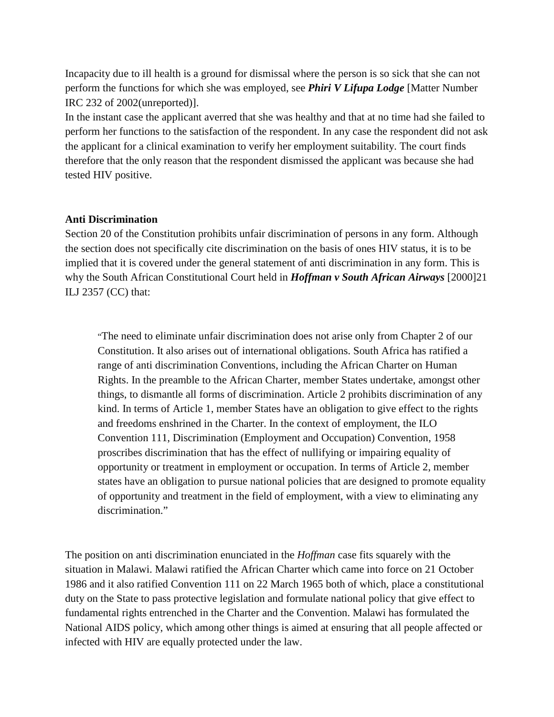Incapacity due to ill health is a ground for dismissal where the person is so sick that she can not perform the functions for which she was employed, see *Phiri V Lifupa Lodge* [Matter Number IRC 232 of 2002(unreported)].

In the instant case the applicant averred that she was healthy and that at no time had she failed to perform her functions to the satisfaction of the respondent. In any case the respondent did not ask the applicant for a clinical examination to verify her employment suitability. The court finds therefore that the only reason that the respondent dismissed the applicant was because she had tested HIV positive.

### **Anti Discrimination**

Section 20 of the Constitution prohibits unfair discrimination of persons in any form. Although the section does not specifically cite discrimination on the basis of ones HIV status, it is to be implied that it is covered under the general statement of anti discrimination in any form. This is why the South African Constitutional Court held in *Hoffman v South African Airways* [2000]21 ILJ 2357 (CC) that:

"The need to eliminate unfair discrimination does not arise only from Chapter 2 of our Constitution. It also arises out of international obligations. South Africa has ratified a range of anti discrimination Conventions, including the African Charter on Human Rights. In the preamble to the African Charter, member States undertake, amongst other things, to dismantle all forms of discrimination. Article 2 prohibits discrimination of any kind. In terms of Article 1, member States have an obligation to give effect to the rights and freedoms enshrined in the Charter. In the context of employment, the ILO Convention 111, Discrimination (Employment and Occupation) Convention, 1958 proscribes discrimination that has the effect of nullifying or impairing equality of opportunity or treatment in employment or occupation. In terms of Article 2, member states have an obligation to pursue national policies that are designed to promote equality of opportunity and treatment in the field of employment, with a view to eliminating any discrimination."

The position on anti discrimination enunciated in the *Hoffman* case fits squarely with the situation in Malawi. Malawi ratified the African Charter which came into force on 21 October 1986 and it also ratified Convention 111 on 22 March 1965 both of which, place a constitutional duty on the State to pass protective legislation and formulate national policy that give effect to fundamental rights entrenched in the Charter and the Convention. Malawi has formulated the National AIDS policy, which among other things is aimed at ensuring that all people affected or infected with HIV are equally protected under the law.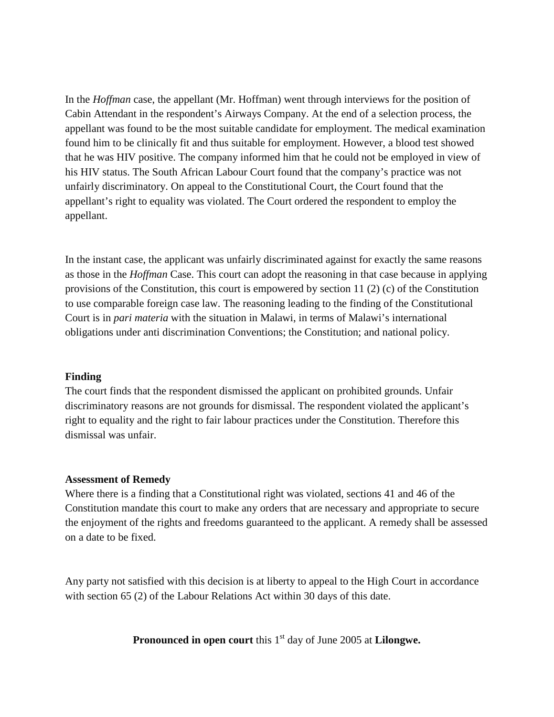In the *Hoffman* case, the appellant (Mr. Hoffman) went through interviews for the position of Cabin Attendant in the respondent's Airways Company. At the end of a selection process, the appellant was found to be the most suitable candidate for employment. The medical examination found him to be clinically fit and thus suitable for employment. However, a blood test showed that he was HIV positive. The company informed him that he could not be employed in view of his HIV status. The South African Labour Court found that the company's practice was not unfairly discriminatory. On appeal to the Constitutional Court, the Court found that the appellant's right to equality was violated. The Court ordered the respondent to employ the appellant.

In the instant case, the applicant was unfairly discriminated against for exactly the same reasons as those in the *Hoffman* Case. This court can adopt the reasoning in that case because in applying provisions of the Constitution, this court is empowered by section 11  $(2)$  (c) of the Constitution to use comparable foreign case law. The reasoning leading to the finding of the Constitutional Court is in *pari materia* with the situation in Malawi, in terms of Malawi's international obligations under anti discrimination Conventions; the Constitution; and national policy.

# **Finding**

The court finds that the respondent dismissed the applicant on prohibited grounds. Unfair discriminatory reasons are not grounds for dismissal. The respondent violated the applicant's right to equality and the right to fair labour practices under the Constitution. Therefore this dismissal was unfair.

#### **Assessment of Remedy**

Where there is a finding that a Constitutional right was violated, sections 41 and 46 of the Constitution mandate this court to make any orders that are necessary and appropriate to secure the enjoyment of the rights and freedoms guaranteed to the applicant. A remedy shall be assessed on a date to be fixed.

Any party not satisfied with this decision is at liberty to appeal to the High Court in accordance with section 65 (2) of the Labour Relations Act within 30 days of this date.

**Pronounced in open court** this 1<sup>st</sup> day of June 2005 at **Lilongwe.**